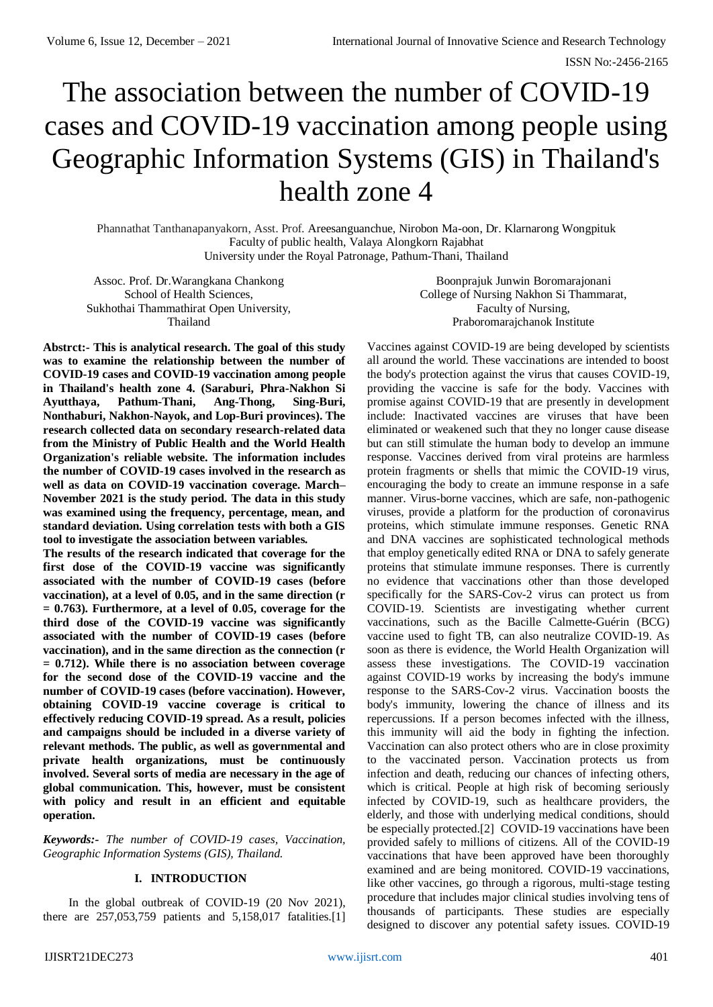# The association between the number of COVID-19 cases and COVID-19 vaccination among people using Geographic Information Systems (GIS) in Thailand's health zone 4

Phannathat Tanthanapanyakorn, Asst. Prof. Areesanguanchue, Nirobon Ma-oon, Dr. Klarnarong Wongpituk Faculty of public health, Valaya Alongkorn Rajabhat University under the Royal Patronage, Pathum-Thani, Thailand

Assoc. Prof. Dr.Warangkana Chankong School of Health Sciences, Sukhothai Thammathirat Open University, Thailand

Boonprajuk Junwin Boromarajonani College of Nursing Nakhon Si Thammarat, Faculty of Nursing, Praboromarajchanok Institute

**Abstrct:- This is analytical research. The goal of this study was to examine the relationship between the number of COVID-19 cases and COVID-19 vaccination among people in Thailand's health zone 4. (Saraburi, Phra-Nakhon Si Ayutthaya, Pathum-Thani, Ang-Thong, Sing-Buri, Nonthaburi, Nakhon-Nayok, and Lop-Buri provinces). The research collected data on secondary research-related data from the Ministry of Public Health and the World Health Organization's reliable website. The information includes the number of COVID-19 cases involved in the research as well as data on COVID-19 vaccination coverage. March– November 2021 is the study period. The data in this study was examined using the frequency, percentage, mean, and standard deviation. Using correlation tests with both a GIS tool to investigate the association between variables.**

**The results of the research indicated that coverage for the first dose of the COVID-19 vaccine was significantly associated with the number of COVID-19 cases (before vaccination), at a level of 0.05, and in the same direction (r = 0.763). Furthermore, at a level of 0.05, coverage for the third dose of the COVID-19 vaccine was significantly associated with the number of COVID-19 cases (before vaccination), and in the same direction as the connection (r = 0.712). While there is no association between coverage for the second dose of the COVID-19 vaccine and the number of COVID-19 cases (before vaccination). However, obtaining COVID-19 vaccine coverage is critical to effectively reducing COVID-19 spread. As a result, policies and campaigns should be included in a diverse variety of relevant methods. The public, as well as governmental and private health organizations, must be continuously involved. Several sorts of media are necessary in the age of global communication. This, however, must be consistent with policy and result in an efficient and equitable operation.**

*Keywords:- The number of COVID-19 cases, Vaccination, Geographic Information Systems (GIS), Thailand.*

#### **I. INTRODUCTION**

In the global outbreak of COVID-19 (20 Nov 2021), there are 257,053,759 patients and 5,158,017 fatalities.[1]

Vaccines against COVID-19 are being developed by scientists all around the world. These vaccinations are intended to boost the body's protection against the virus that causes COVID-19, providing the vaccine is safe for the body. Vaccines with promise against COVID-19 that are presently in development include: Inactivated vaccines are viruses that have been eliminated or weakened such that they no longer cause disease but can still stimulate the human body to develop an immune response. Vaccines derived from viral proteins are harmless protein fragments or shells that mimic the COVID-19 virus, encouraging the body to create an immune response in a safe manner. Virus-borne vaccines, which are safe, non-pathogenic viruses, provide a platform for the production of coronavirus proteins, which stimulate immune responses. Genetic RNA and DNA vaccines are sophisticated technological methods that employ genetically edited RNA or DNA to safely generate proteins that stimulate immune responses. There is currently no evidence that vaccinations other than those developed specifically for the SARS-Cov-2 virus can protect us from COVID-19. Scientists are investigating whether current vaccinations, such as the Bacille Calmette-Guérin (BCG) vaccine used to fight TB, can also neutralize COVID-19. As soon as there is evidence, the World Health Organization will assess these investigations. The COVID-19 vaccination against COVID-19 works by increasing the body's immune response to the SARS-Cov-2 virus. Vaccination boosts the body's immunity, lowering the chance of illness and its repercussions. If a person becomes infected with the illness, this immunity will aid the body in fighting the infection. Vaccination can also protect others who are in close proximity to the vaccinated person. Vaccination protects us from infection and death, reducing our chances of infecting others, which is critical. People at high risk of becoming seriously infected by COVID-19, such as healthcare providers, the elderly, and those with underlying medical conditions, should be especially protected.[2] COVID-19 vaccinations have been provided safely to millions of citizens. All of the COVID-19 vaccinations that have been approved have been thoroughly examined and are being monitored. COVID-19 vaccinations, like other vaccines, go through a rigorous, multi-stage testing procedure that includes major clinical studies involving tens of thousands of participants. These studies are especially designed to discover any potential safety issues. COVID-19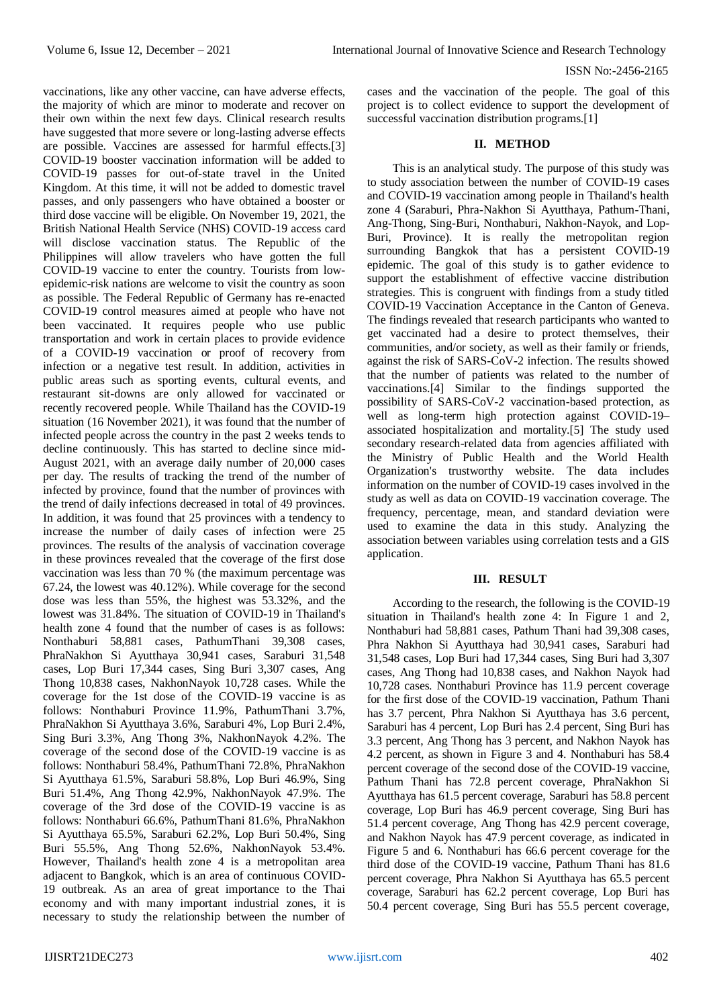vaccinations, like any other vaccine, can have adverse effects, the majority of which are minor to moderate and recover on their own within the next few days. Clinical research results have suggested that more severe or long-lasting adverse effects are possible. Vaccines are assessed for harmful effects.[3] COVID-19 booster vaccination information will be added to COVID-19 passes for out-of-state travel in the United Kingdom. At this time, it will not be added to domestic travel passes, and only passengers who have obtained a booster or third dose vaccine will be eligible. On November 19, 2021, the British National Health Service (NHS) COVID-19 access card will disclose vaccination status. The Republic of the Philippines will allow travelers who have gotten the full COVID-19 vaccine to enter the country. Tourists from lowepidemic-risk nations are welcome to visit the country as soon as possible. The Federal Republic of Germany has re-enacted COVID-19 control measures aimed at people who have not been vaccinated. It requires people who use public transportation and work in certain places to provide evidence of a COVID-19 vaccination or proof of recovery from infection or a negative test result. In addition, activities in public areas such as sporting events, cultural events, and restaurant sit-downs are only allowed for vaccinated or recently recovered people. While Thailand has the COVID-19 situation (16 November 2021), it was found that the number of infected people across the country in the past 2 weeks tends to decline continuously. This has started to decline since mid-August 2021, with an average daily number of 20,000 cases per day. The results of tracking the trend of the number of infected by province, found that the number of provinces with the trend of daily infections decreased in total of 49 provinces. In addition, it was found that 25 provinces with a tendency to increase the number of daily cases of infection were 25 provinces. The results of the analysis of vaccination coverage in these provinces revealed that the coverage of the first dose vaccination was less than 70 % (the maximum percentage was 67.24, the lowest was 40.12%). While coverage for the second dose was less than 55%, the highest was 53.32%, and the lowest was 31.84%. The situation of COVID-19 in Thailand's health zone 4 found that the number of cases is as follows: Nonthaburi 58,881 cases, PathumThani 39,308 cases, PhraNakhon Si Ayutthaya 30,941 cases, Saraburi 31,548 cases, Lop Buri 17,344 cases, Sing Buri 3,307 cases, Ang Thong 10,838 cases, NakhonNayok 10,728 cases. While the coverage for the 1st dose of the COVID-19 vaccine is as follows: Nonthaburi Province 11.9%, PathumThani 3.7%, PhraNakhon Si Ayutthaya 3.6%, Saraburi 4%, Lop Buri 2.4%, Sing Buri 3.3%, Ang Thong 3%, NakhonNayok 4.2%. The coverage of the second dose of the COVID-19 vaccine is as follows: Nonthaburi 58.4%, PathumThani 72.8%, PhraNakhon Si Ayutthaya 61.5%, Saraburi 58.8%, Lop Buri 46.9%, Sing Buri 51.4%, Ang Thong 42.9%, NakhonNayok 47.9%. The coverage of the 3rd dose of the COVID-19 vaccine is as follows: Nonthaburi 66.6%, PathumThani 81.6%, PhraNakhon Si Ayutthaya 65.5%, Saraburi 62.2%, Lop Buri 50.4%, Sing Buri 55.5%, Ang Thong 52.6%, NakhonNayok 53.4%. However, Thailand's health zone 4 is a metropolitan area adjacent to Bangkok, which is an area of continuous COVID-19 outbreak. As an area of great importance to the Thai economy and with many important industrial zones, it is necessary to study the relationship between the number of

cases and the vaccination of the people. The goal of this project is to collect evidence to support the development of successful vaccination distribution programs.[1]

### **II. METHOD**

This is an analytical study. The purpose of this study was to study association between the number of COVID-19 cases and COVID-19 vaccination among people in Thailand's health zone 4 (Saraburi, Phra-Nakhon Si Ayutthaya, Pathum-Thani, Ang-Thong, Sing-Buri, Nonthaburi, Nakhon-Nayok, and Lop-Buri, Province). It is really the metropolitan region surrounding Bangkok that has a persistent COVID-19 epidemic. The goal of this study is to gather evidence to support the establishment of effective vaccine distribution strategies. This is congruent with findings from a study titled COVID-19 Vaccination Acceptance in the Canton of Geneva. The findings revealed that research participants who wanted to get vaccinated had a desire to protect themselves, their communities, and/or society, as well as their family or friends, against the risk of SARS-CoV-2 infection. The results showed that the number of patients was related to the number of vaccinations.[4] Similar to the findings supported the possibility of SARS-CoV-2 vaccination-based protection, as well as long-term high protection against COVID-19– associated hospitalization and mortality.[5] The study used secondary research-related data from agencies affiliated with the Ministry of Public Health and the World Health Organization's trustworthy website. The data includes information on the number of COVID-19 cases involved in the study as well as data on COVID-19 vaccination coverage. The frequency, percentage, mean, and standard deviation were used to examine the data in this study. Analyzing the association between variables using correlation tests and a GIS application.

#### **III. RESULT**

According to the research, the following is the COVID-19 situation in Thailand's health zone 4: In Figure 1 and 2, Nonthaburi had 58,881 cases, Pathum Thani had 39,308 cases, Phra Nakhon Si Ayutthaya had 30,941 cases, Saraburi had 31,548 cases, Lop Buri had 17,344 cases, Sing Buri had 3,307 cases, Ang Thong had 10,838 cases, and Nakhon Nayok had 10,728 cases. Nonthaburi Province has 11.9 percent coverage for the first dose of the COVID-19 vaccination, Pathum Thani has 3.7 percent, Phra Nakhon Si Ayutthaya has 3.6 percent, Saraburi has 4 percent, Lop Buri has 2.4 percent, Sing Buri has 3.3 percent, Ang Thong has 3 percent, and Nakhon Nayok has 4.2 percent, as shown in Figure 3 and 4. Nonthaburi has 58.4 percent coverage of the second dose of the COVID-19 vaccine, Pathum Thani has 72.8 percent coverage, PhraNakhon Si Ayutthaya has 61.5 percent coverage, Saraburi has 58.8 percent coverage, Lop Buri has 46.9 percent coverage, Sing Buri has 51.4 percent coverage, Ang Thong has 42.9 percent coverage, and Nakhon Nayok has 47.9 percent coverage, as indicated in Figure 5 and 6. Nonthaburi has 66.6 percent coverage for the third dose of the COVID-19 vaccine, Pathum Thani has 81.6 percent coverage, Phra Nakhon Si Ayutthaya has 65.5 percent coverage, Saraburi has 62.2 percent coverage, Lop Buri has 50.4 percent coverage, Sing Buri has 55.5 percent coverage,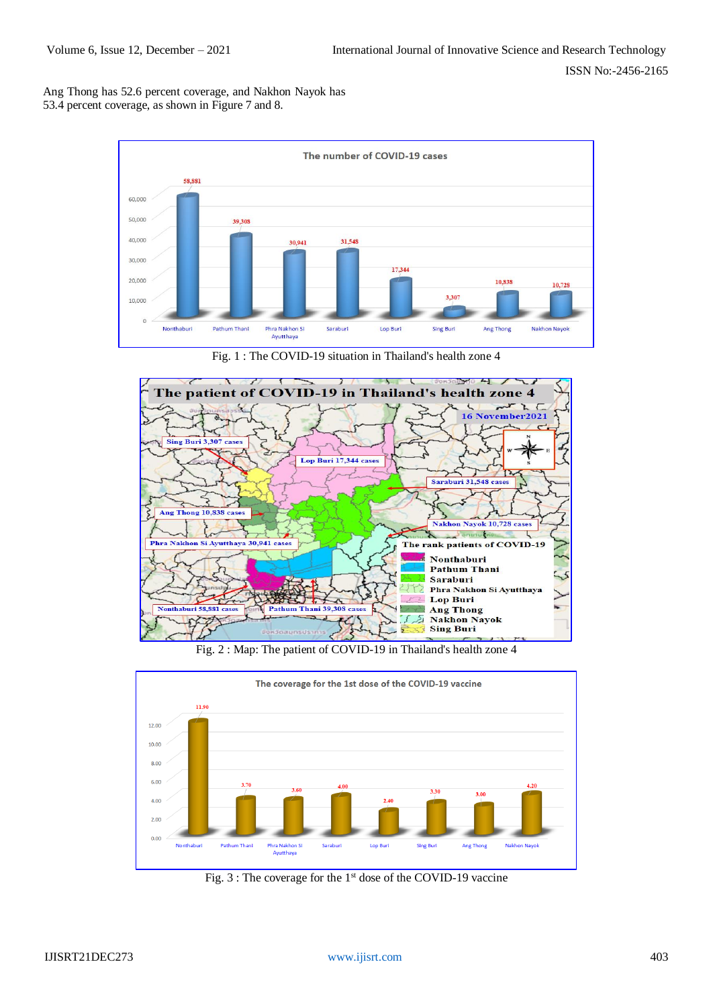Ang Thong has 52.6 percent coverage, and Nakhon Nayok has 53.4 percent coverage, as shown in Figure 7 and 8.



Fig. 1 : The COVID-19 situation in Thailand's health zone 4



Fig. 2 : Map: The patient of COVID-19 in Thailand's health zone 4



Fig. 3 : The coverage for the 1st dose of the COVID-19 vaccine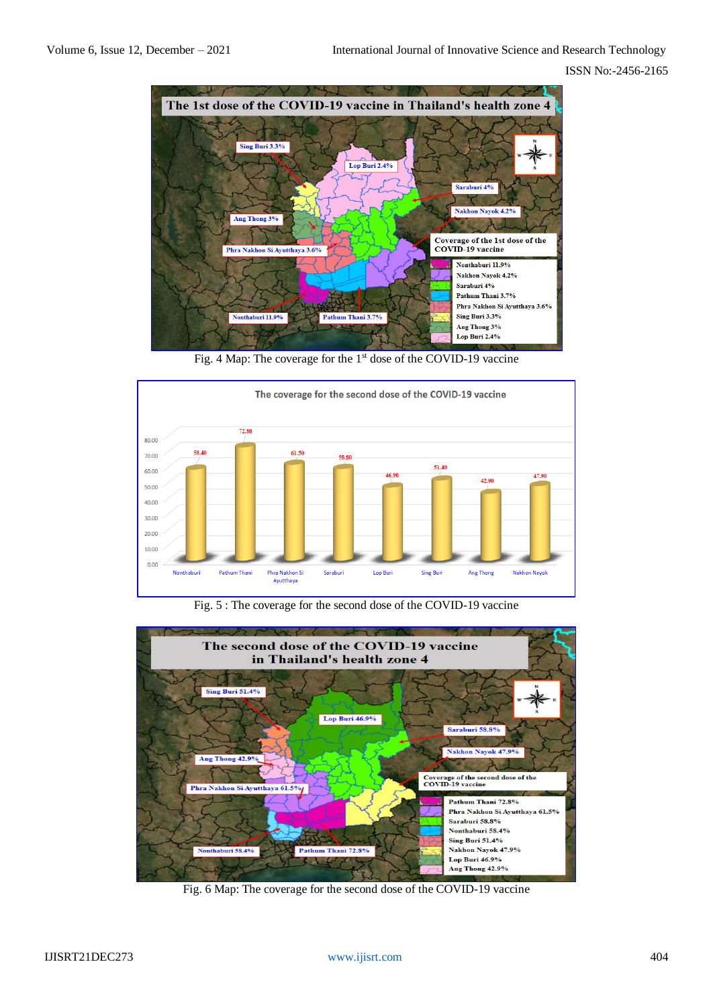

Fig. 4 Map: The coverage for the 1<sup>st</sup> dose of the COVID-19 vaccine



Fig. 5 : The coverage for the second dose of the COVID-19 vaccine



Fig. 6 Map: The coverage for the second dose of the COVID-19 vaccine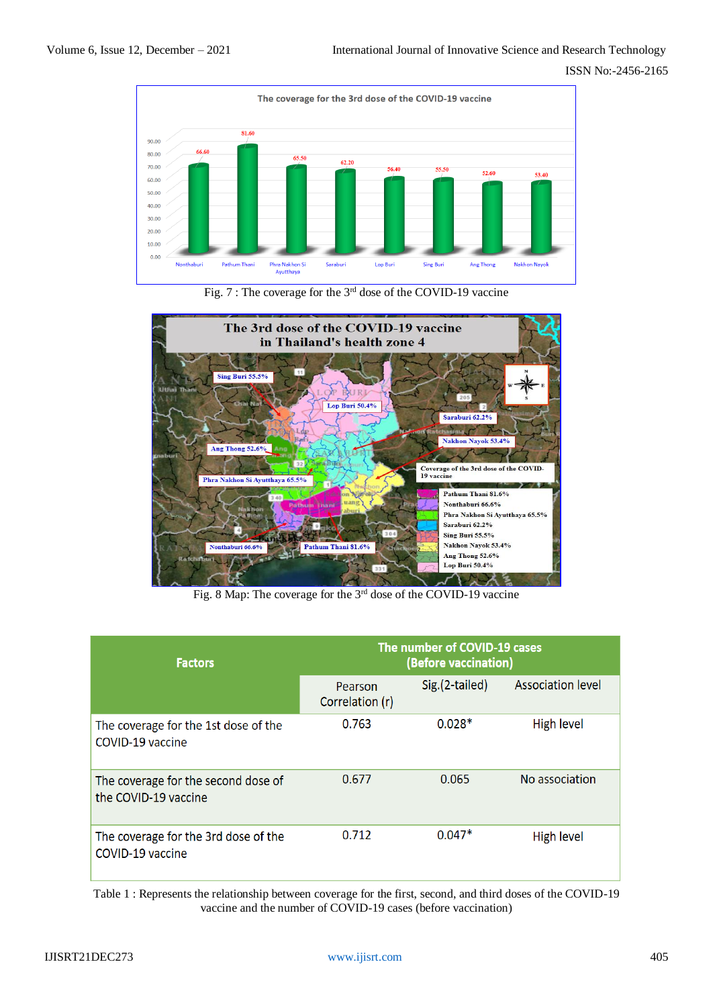

Fig. 7 : The coverage for the 3rd dose of the COVID-19 vaccine



Fig. 8 Map: The coverage for the 3rd dose of the COVID-19 vaccine

| <b>Factors</b>                                              | The number of COVID-19 cases<br>(Before vaccination) |                |                          |
|-------------------------------------------------------------|------------------------------------------------------|----------------|--------------------------|
|                                                             | Pearson<br>Correlation (r)                           | Sig.(2-tailed) | <b>Association level</b> |
| The coverage for the 1st dose of the<br>COVID-19 vaccine    | 0.763                                                | $0.028*$       | High level               |
| The coverage for the second dose of<br>the COVID-19 vaccine | 0.677                                                | 0.065          | No association           |
| The coverage for the 3rd dose of the<br>COVID-19 vaccine    | 0.712                                                | $0.047*$       | High level               |

Table 1 : Represents the relationship between coverage for the first, second, and third doses of the COVID-19 vaccine and the number of COVID-19 cases (before vaccination)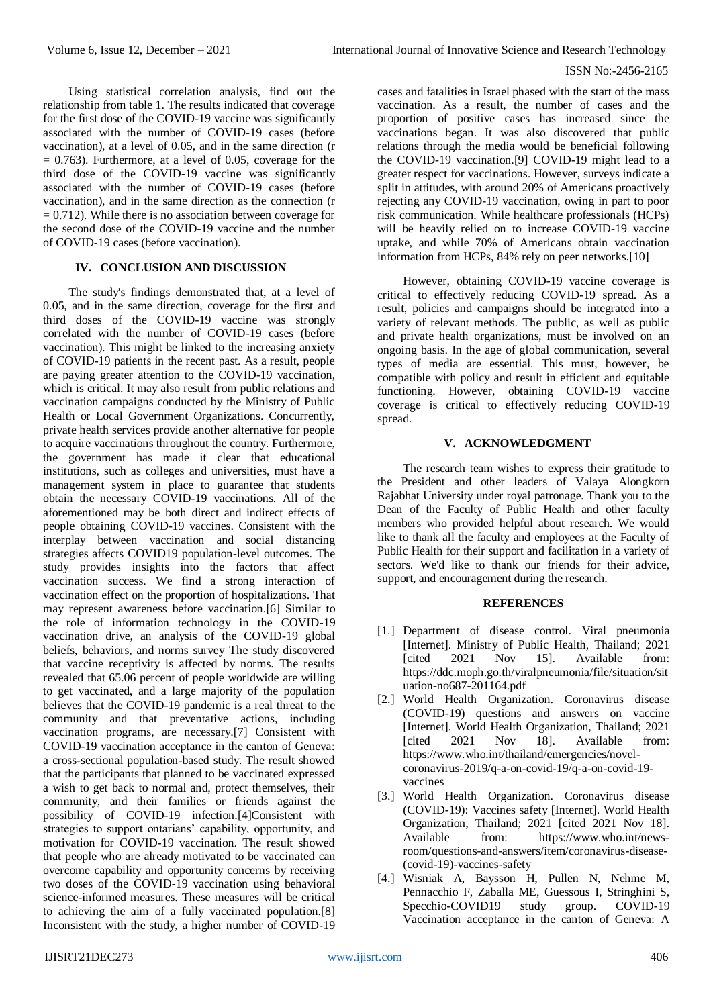#### ISSN No:-2456-2165

Using statistical correlation analysis, find out the relationship from table 1. The results indicated that coverage for the first dose of the COVID-19 vaccine was significantly associated with the number of COVID-19 cases (before vaccination), at a level of 0.05, and in the same direction (r  $= 0.763$ ). Furthermore, at a level of 0.05, coverage for the third dose of the COVID-19 vaccine was significantly associated with the number of COVID-19 cases (before vaccination), and in the same direction as the connection (r  $= 0.712$ ). While there is no association between coverage for the second dose of the COVID-19 vaccine and the number of COVID-19 cases (before vaccination).

## **IV. CONCLUSION AND DISCUSSION**

The study's findings demonstrated that, at a level of 0.05, and in the same direction, coverage for the first and third doses of the COVID-19 vaccine was strongly correlated with the number of COVID-19 cases (before vaccination). This might be linked to the increasing anxiety of COVID-19 patients in the recent past. As a result, people are paying greater attention to the COVID-19 vaccination, which is critical. It may also result from public relations and vaccination campaigns conducted by the Ministry of Public Health or Local Government Organizations. Concurrently, private health services provide another alternative for people to acquire vaccinations throughout the country. Furthermore, the government has made it clear that educational institutions, such as colleges and universities, must have a management system in place to guarantee that students obtain the necessary COVID-19 vaccinations. All of the aforementioned may be both direct and indirect effects of people obtaining COVID-19 vaccines. Consistent with the interplay between vaccination and social distancing strategies affects COVID19 population-level outcomes. The study provides insights into the factors that affect vaccination success. We find a strong interaction of vaccination effect on the proportion of hospitalizations. That may represent awareness before vaccination.[6] Similar to the role of information technology in the COVID-19 vaccination drive, an analysis of the COVID-19 global beliefs, behaviors, and norms survey The study discovered that vaccine receptivity is affected by norms. The results revealed that 65.06 percent of people worldwide are willing to get vaccinated, and a large majority of the population believes that the COVID-19 pandemic is a real threat to the community and that preventative actions, including vaccination programs, are necessary.[7] Consistent with COVID-19 vaccination acceptance in the canton of Geneva: a cross-sectional population-based study. The result showed that the participants that planned to be vaccinated expressed a wish to get back to normal and, protect themselves, their community, and their families or friends against the possibility of COVID-19 infection.[4]Consistent with strategies to support ontarians' capability, opportunity, and motivation for COVID-19 vaccination. The result showed that people who are already motivated to be vaccinated can overcome capability and opportunity concerns by receiving two doses of the COVID-19 vaccination using behavioral science-informed measures. These measures will be critical to achieving the aim of a fully vaccinated population.[8] Inconsistent with the study, a higher number of COVID-19

cases and fatalities in Israel phased with the start of the mass vaccination. As a result, the number of cases and the proportion of positive cases has increased since the vaccinations began. It was also discovered that public relations through the media would be beneficial following the COVID-19 vaccination.[9] COVID-19 might lead to a greater respect for vaccinations. However, surveys indicate a split in attitudes, with around 20% of Americans proactively rejecting any COVID-19 vaccination, owing in part to poor risk communication. While healthcare professionals (HCPs) will be heavily relied on to increase COVID-19 vaccine uptake, and while 70% of Americans obtain vaccination information from HCPs, 84% rely on peer networks.[10]

However, obtaining COVID-19 vaccine coverage is critical to effectively reducing COVID-19 spread. As a result, policies and campaigns should be integrated into a variety of relevant methods. The public, as well as public and private health organizations, must be involved on an ongoing basis. In the age of global communication, several types of media are essential. This must, however, be compatible with policy and result in efficient and equitable functioning. However, obtaining COVID-19 vaccine coverage is critical to effectively reducing COVID-19 spread.

## **V. ACKNOWLEDGMENT**

The research team wishes to express their gratitude to the President and other leaders of Valaya Alongkorn Rajabhat University under royal patronage. Thank you to the Dean of the Faculty of Public Health and other faculty members who provided helpful about research. We would like to thank all the faculty and employees at the Faculty of Public Health for their support and facilitation in a variety of sectors. We'd like to thank our friends for their advice, support, and encouragement during the research.

## **REFERENCES**

- [1.] Department of disease control. Viral pneumonia [Internet]. Ministry of Public Health, Thailand; 2021 [cited 2021 Nov 15]. Available from: https://ddc.moph.go.th/viralpneumonia/file/situation/sit uation-no687-201164.pdf
- [2.] World Health Organization. Coronavirus disease (COVID-19) questions and answers on vaccine [Internet]. World Health Organization, Thailand; 2021 [cited 2021 Nov 18]. Available from: https://www.who.int/thailand/emergencies/novelcoronavirus-2019/q-a-on-covid-19/q-a-on-covid-19 vaccines
- [3.] World Health Organization. Coronavirus disease (COVID-19): Vaccines safety [Internet]. World Health Organization, Thailand; 2021 [cited 2021 Nov 18]. Available from: https://www.who.int/newsroom/questions-and-answers/item/coronavirus-disease- (covid-19)-vaccines-safety
- [4.] Wisniak A, Baysson H, Pullen N, Nehme M, Pennacchio F, Zaballa ME, Guessous I, Stringhini S, Specchio-COVID19 study group. COVID-19 Vaccination acceptance in the canton of Geneva: A